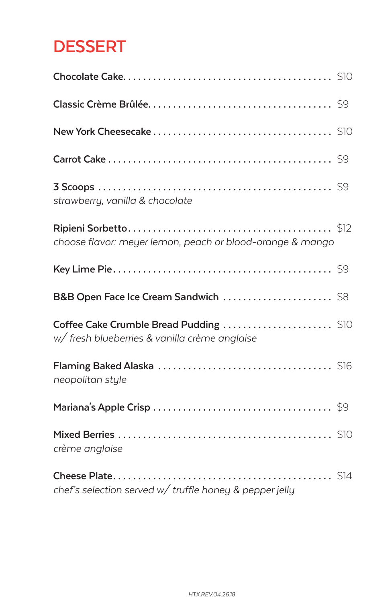# **DESSERT**

| strawberry, vanilla & chocolate                                                         |  |
|-----------------------------------------------------------------------------------------|--|
| choose flavor: meyer lemon, peach or blood-orange & mango                               |  |
|                                                                                         |  |
| B&B Open Face Ice Cream Sandwich \$8                                                    |  |
| Coffee Cake Crumble Bread Pudding \$10<br>w/ fresh blueberries & vanilla crème anglaise |  |
| neopolitan style                                                                        |  |
|                                                                                         |  |
| crème anglaise                                                                          |  |
| chef's selection served w/ truffle honey & pepper jelly                                 |  |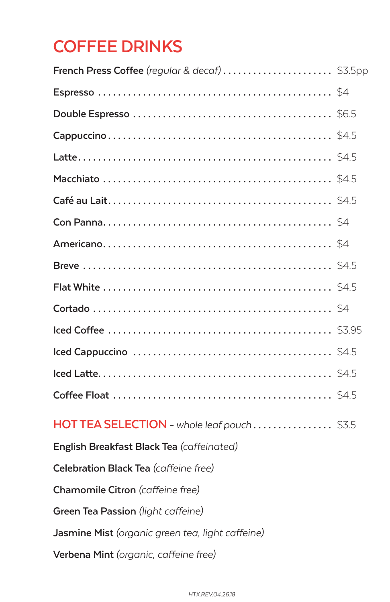## **COFFEE DRINKS**

| HOT TEA SELECTION - whole leaf pouch\$3.5        |  |
|--------------------------------------------------|--|
| English Breakfast Black Tea (caffeinated)        |  |
| Celebration Black Tea (caffeine free)            |  |
| Chamomile Citron (caffeine free)                 |  |
| Green Tea Passion (light caffeine)               |  |
| Jasmine Mist (organic green tea, light caffeine) |  |
| Verbena Mint (organic, caffeine free)            |  |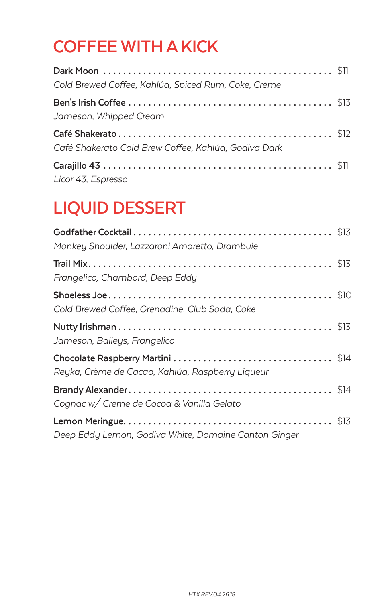## **COFFEE WITH A KICK**

| Cold Brewed Coffee, Kahlúa, Spiced Rum, Coke, Crème  |  |
|------------------------------------------------------|--|
| Jameson, Whipped Cream                               |  |
| Café Shakerato Cold Brew Coffee, Kahlúa, Godiva Dark |  |
| Licor 43, Espresso                                   |  |

# **LIQUID DESSERT**

| Monkey Shoulder, Lazzaroni Amaretto, Drambuie        |  |
|------------------------------------------------------|--|
| Frangelico, Chambord, Deep Eddy                      |  |
| Cold Brewed Coffee, Grenadine, Club Soda, Coke       |  |
| Jameson, Baileys, Frangelico                         |  |
| Reyka, Crème de Cacao, Kahlúa, Raspberry Liqueur     |  |
| Cognac w/ Crème de Cocoa & Vanilla Gelato            |  |
| Deep Eddy Lemon, Godiva White, Domaine Canton Ginger |  |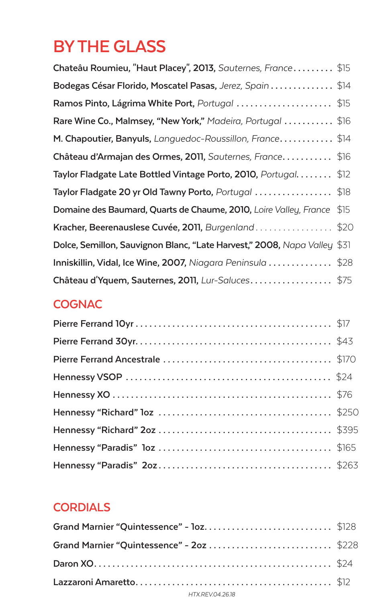# **BY THE GLASS**

| Chateâu Roumieu, "Haut Placey", 2013, Sauternes, France \$15                       |      |
|------------------------------------------------------------------------------------|------|
| Bodegas César Florido, Moscatel Pasas, Jerez, Spain \$14                           |      |
| Ramos Pinto, Lágrima White Port, Portugal  \$15                                    |      |
| Rare Wine Co., Malmsey, "New York," Madeira, Portugal  \$16                        |      |
| <b>M. Chapoutier, Banyuls,</b> Languedoc-Roussillon, France \$14                   |      |
| Château d'Armajan des Ormes, 2011, Sauternes, France\$16                           |      |
| Taylor Fladgate Late Bottled Vintage Porto, 2010, Portugal \$12                    |      |
| Taylor Fladgate 20 yr Old Tawny Porto, Portugal $\ldots \ldots \ldots \ldots$ \$18 |      |
| Domaine des Baumard, Quarts de Chaume, 2010, Loire Valley, France                  | \$15 |
| Kracher, Beerenauslese Cuvée, 2011, Burgenland\$20                                 |      |
| Dolce, Semillon, Sauvignon Blanc, "Late Harvest," 2008, Napa Valley \$31           |      |
| Inniskillin, Vidal, Ice Wine, 2007, Niagara Peninsula $\ldots \ldots \ldots$ \$28  |      |
| Château d'Yquem, Sauternes, 2011, Lur-Saluces\$75                                  |      |

### **COGNAC**

### **CORDIALS**

| Grand Marnier "Quintessence" - loz\$128   |  |
|-------------------------------------------|--|
| Grand Marnier "Quintessence" - 20z  \$228 |  |
|                                           |  |
|                                           |  |
| HTX.REV.04.26.18                          |  |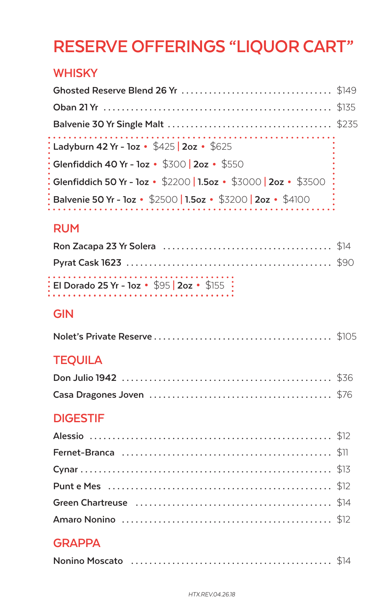## **RESERVE OFFERINGS "LIQUOR CART"**

#### **WHISKY**

| : Ladyburn 42 Yr - 1oz • \$425   2oz • \$625                                |  |
|-----------------------------------------------------------------------------|--|
| $\frac{1}{2}$ Glenfiddich 40 Yr - 1oz • \$300   2oz • \$550                 |  |
| : Glenfiddich 50 Yr - 1oz · \$2200   1.5oz · \$3000   2oz · \$3500 :        |  |
| $\frac{1}{3}$ Balvenie 50 Yr - 1oz • \$2500   1.5oz • \$3200   2oz • \$4100 |  |

### **RUM**

| $\frac{1}{2}$ El Dorado 25 Yr - 10z + \$95   2oz + \$155 $\frac{1}{2}$ |  |
|------------------------------------------------------------------------|--|

#### **GIN**

|--|--|--|

### **TEQUILA**

### **DIGESTIF**

### **GRAPPA**

|--|--|--|

#### *HTX.REV.04.26.18*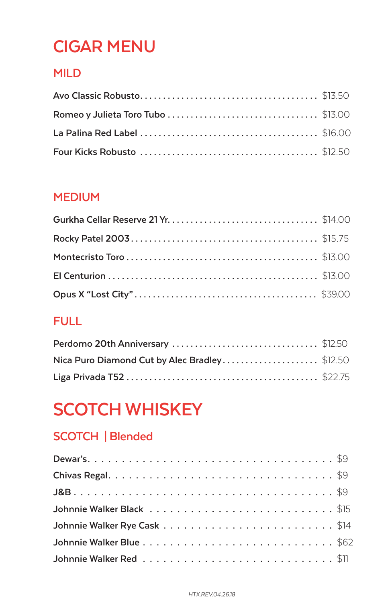## **CIGAR MENU**

### **MILD**

#### **MEDIUM**

#### **FULL**

| Nica Puro Diamond Cut by Alec Bradley\$12.50 |  |
|----------------------------------------------|--|
|                                              |  |

# **SCOTCH WHISKEY**

### **SCOTCH | Blended**

| Johnnie Walker Red\$11 |  |  |  |  |  |  |  |  |  |  |  |  |  |  |  |
|------------------------|--|--|--|--|--|--|--|--|--|--|--|--|--|--|--|

#### *HTX.REV.04.26.18*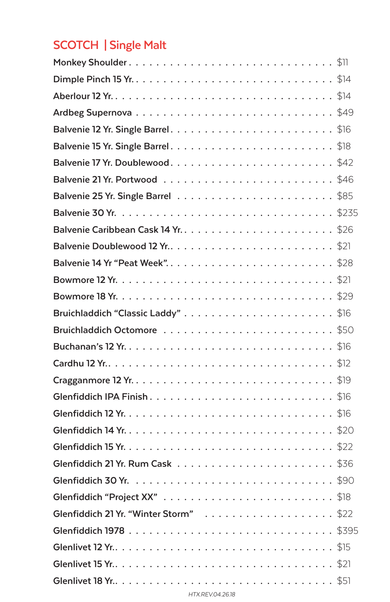### **SCOTCH | Single Malt**

| Balvenie 15 Yr. Single Barrel\$18                                                                            |
|--------------------------------------------------------------------------------------------------------------|
| Balvenie 17 Yr. Doublewood\$42                                                                               |
|                                                                                                              |
|                                                                                                              |
|                                                                                                              |
| Balvenie Caribbean Cask 14 Yr. $\dots\dots\dots\dots\dots\dots\dots\dots\dots$ \$26                          |
| Balvenie Doublewood 12 Yr\$21                                                                                |
| Balvenie 14 Yr "Peat Week"\$28                                                                               |
|                                                                                                              |
|                                                                                                              |
| Bruichladdich "Classic Laddy"\$16                                                                            |
| Bruichladdich Octomore \$50                                                                                  |
|                                                                                                              |
|                                                                                                              |
|                                                                                                              |
|                                                                                                              |
|                                                                                                              |
|                                                                                                              |
|                                                                                                              |
| Glenfiddich 21 Yr. Rum Cask $\,\ldots\, \ldots\, \ldots\, \ldots\, \ldots\, \ldots\, \ldots\, \mathbb{S}$ 36 |
|                                                                                                              |
| \$18<br><b>Glenfiddich "Project XX"</b>                                                                      |
|                                                                                                              |
|                                                                                                              |
|                                                                                                              |
| Glenlivet 15 Yr\$21                                                                                          |
|                                                                                                              |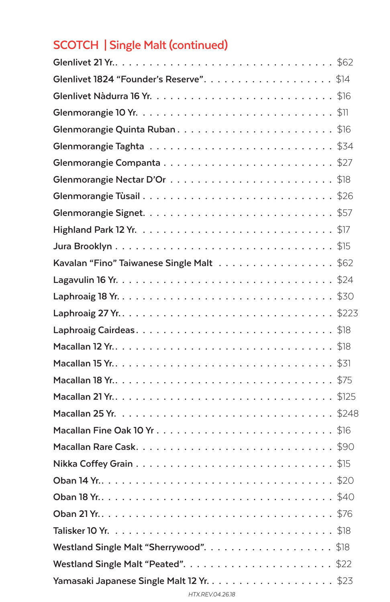### **SCOTCH | Single Malt (continued)**

| Glenmorangie Quinta Ruban\$16             |
|-------------------------------------------|
|                                           |
|                                           |
|                                           |
| Glenmorangie Tùsail\$26                   |
|                                           |
|                                           |
|                                           |
| Kavalan "Fino" Taiwanese Single Malt \$62 |
|                                           |
|                                           |
| Laphroaig 27 Yr\$223                      |
|                                           |
|                                           |
|                                           |
|                                           |
|                                           |
|                                           |
| Macallan Fine Oak 10 Yr\$16               |
|                                           |
|                                           |
|                                           |
| \$40<br>Oban 18 Yr                        |
|                                           |
|                                           |
|                                           |
|                                           |
|                                           |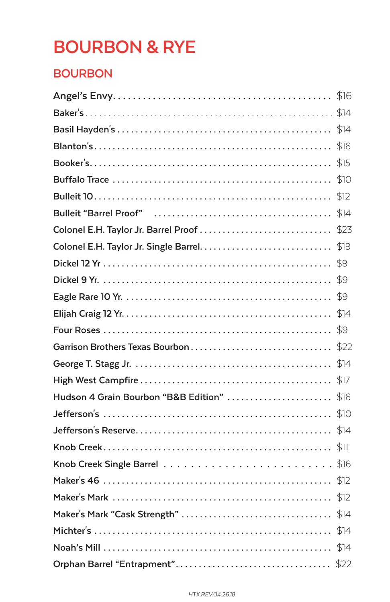# **BOURBON & RYE**

#### **BOURBON**

| Hudson 4 Grain Bourbon "B&B Edition" \$16 |      |
|-------------------------------------------|------|
|                                           |      |
|                                           | \$14 |
|                                           |      |
|                                           |      |
|                                           |      |
|                                           |      |
|                                           |      |
|                                           |      |
|                                           |      |
|                                           | \$22 |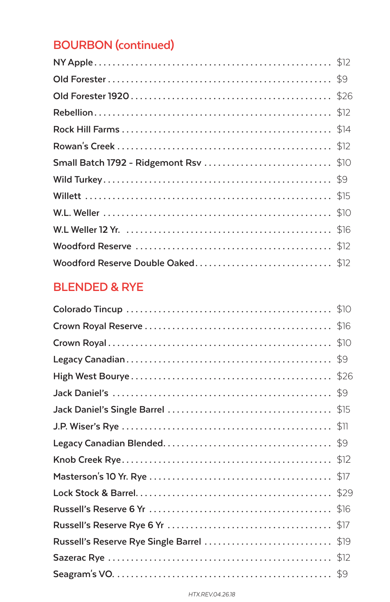### **BOURBON (continued)**

| Small Batch 1792 - Ridgemont Rsv \$10 |  |
|---------------------------------------|--|
|                                       |  |
|                                       |  |
|                                       |  |
|                                       |  |
|                                       |  |
| Woodford Reserve Double Oaked\$12     |  |

#### **BLENDED & RYE**

| Russell's Reserve Rye Single Barrel \$19 |  |
|------------------------------------------|--|
|                                          |  |
|                                          |  |

#### *HTX.REV.04.26.18*